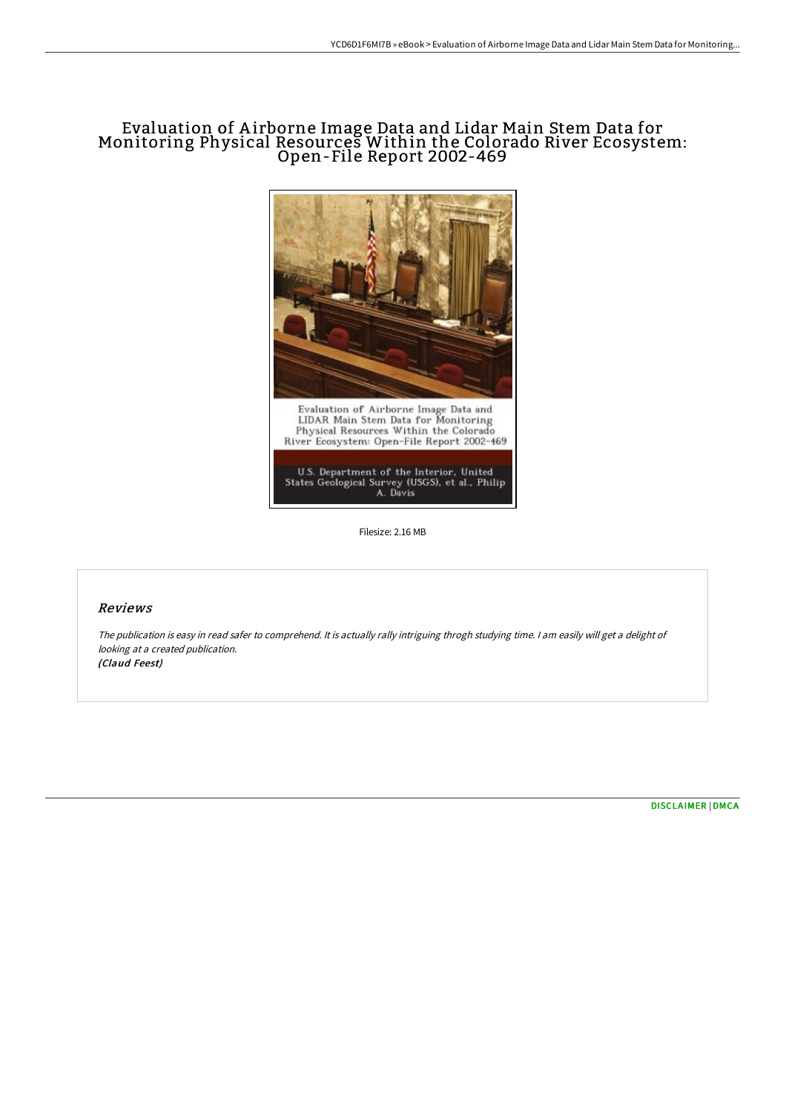# Evaluation of A irborne Image Data and Lidar Main Stem Data for Monitoring Physical Resources Within the Colorado River Ecosystem: Open-File Report 2002-469



Filesize: 2.16 MB

### Reviews

The publication is easy in read safer to comprehend. It is actually rally intriguing throgh studying time. <sup>I</sup> am easily will get <sup>a</sup> delight of looking at <sup>a</sup> created publication. (Claud Feest)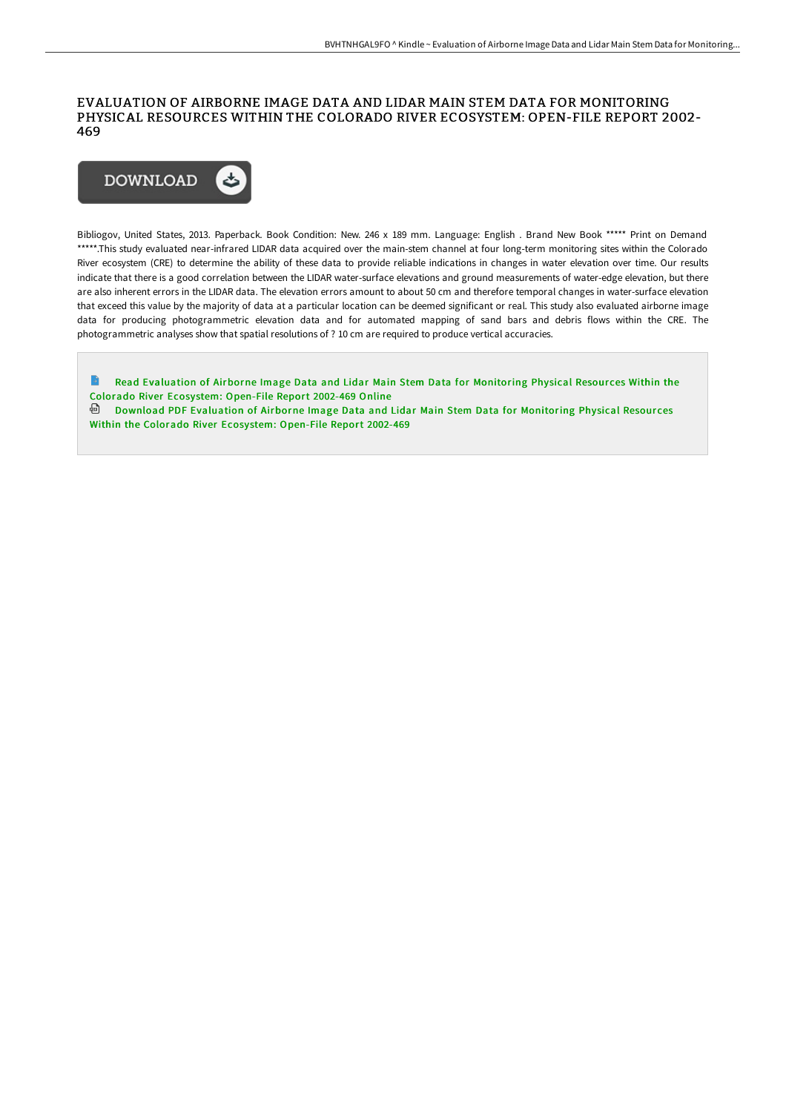#### EVALUATION OF AIRBORNE IMAGE DATA AND LIDAR MAIN STEM DATA FOR MONITORING PHYSICAL RESOURCES WITHIN THE COLORADO RIVER ECOSYSTEM: OPEN-FILE REPORT 2002- 469



Bibliogov, United States, 2013. Paperback. Book Condition: New. 246 x 189 mm. Language: English . Brand New Book \*\*\*\*\* Print on Demand \*\*\*\*\*.This study evaluated near-infrared LIDAR data acquired over the main-stem channel at four long-term monitoring sites within the Colorado River ecosystem (CRE) to determine the ability of these data to provide reliable indications in changes in water elevation over time. Our results indicate that there is a good correlation between the LIDAR water-surface elevations and ground measurements of water-edge elevation, but there are also inherent errors in the LIDAR data. The elevation errors amount to about 50 cm and therefore temporal changes in water-surface elevation that exceed this value by the majority of data at a particular location can be deemed significant or real. This study also evaluated airborne image data for producing photogrammetric elevation data and for automated mapping of sand bars and debris flows within the CRE. The photogrammetric analyses show that spatial resolutions of ? 10 cm are required to produce vertical accuracies.

 $\Rightarrow$ Read Evaluation of Airborne Image Data and Lidar Main Stem Data for [Monitoring](http://techno-pub.tech/evaluation-of-airborne-image-data-and-lidar-main.html) Physical Resources Within the Colorado River Ecosystem: Open-File Report 2002-469 Online Download PDF Evaluation of Airborne Image Data and Lidar Main Stem Data for Monitoring Physical Resour ces Within the Colorado River [Ecosystem:](http://techno-pub.tech/evaluation-of-airborne-image-data-and-lidar-main.html) Open-File Report 2002-469